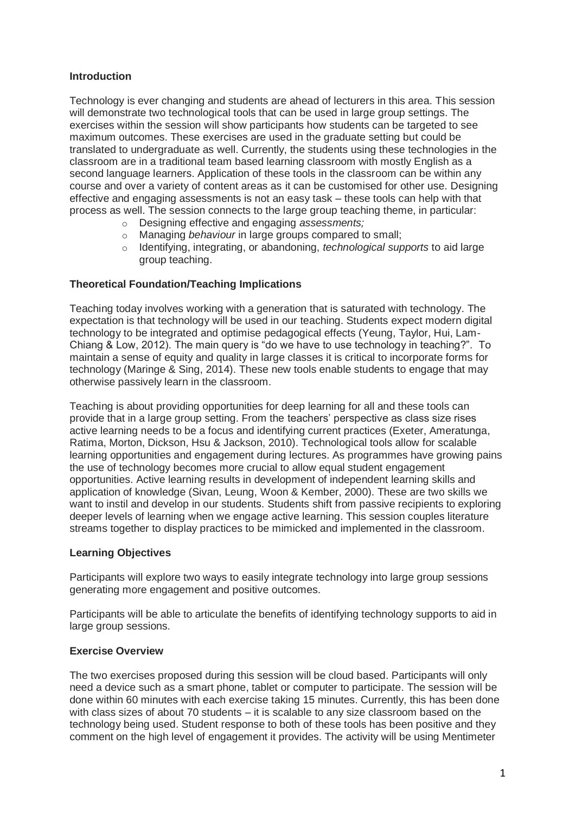## **Introduction**

Technology is ever changing and students are ahead of lecturers in this area. This session will demonstrate two technological tools that can be used in large group settings. The exercises within the session will show participants how students can be targeted to see maximum outcomes. These exercises are used in the graduate setting but could be translated to undergraduate as well. Currently, the students using these technologies in the classroom are in a traditional team based learning classroom with mostly English as a second language learners. Application of these tools in the classroom can be within any course and over a variety of content areas as it can be customised for other use. Designing effective and engaging assessments is not an easy task – these tools can help with that process as well. The session connects to the large group teaching theme, in particular:

- o Designing effective and engaging *assessments;*
- Managing *behaviour* in large groups compared to small;
- o Identifying, integrating, or abandoning, *technological supports* to aid large group teaching.

### **Theoretical Foundation/Teaching Implications**

Teaching today involves working with a generation that is saturated with technology. The expectation is that technology will be used in our teaching. Students expect modern digital technology to be integrated and optimise pedagogical effects (Yeung, Taylor, Hui, Lam-Chiang & Low, 2012). The main query is "do we have to use technology in teaching?". To maintain a sense of equity and quality in large classes it is critical to incorporate forms for technology (Maringe & Sing, 2014). These new tools enable students to engage that may otherwise passively learn in the classroom.

Teaching is about providing opportunities for deep learning for all and these tools can provide that in a large group setting. From the teachers' perspective as class size rises active learning needs to be a focus and identifying current practices (Exeter, Ameratunga, Ratima, Morton, Dickson, Hsu & Jackson, 2010). Technological tools allow for scalable learning opportunities and engagement during lectures. As programmes have growing pains the use of technology becomes more crucial to allow equal student engagement opportunities. Active learning results in development of independent learning skills and application of knowledge (Sivan, Leung, Woon & Kember, 2000). These are two skills we want to instil and develop in our students. Students shift from passive recipients to exploring deeper levels of learning when we engage active learning. This session couples literature streams together to display practices to be mimicked and implemented in the classroom.

#### **Learning Objectives**

Participants will explore two ways to easily integrate technology into large group sessions generating more engagement and positive outcomes.

Participants will be able to articulate the benefits of identifying technology supports to aid in large group sessions.

### **Exercise Overview**

The two exercises proposed during this session will be cloud based. Participants will only need a device such as a smart phone, tablet or computer to participate. The session will be done within 60 minutes with each exercise taking 15 minutes. Currently, this has been done with class sizes of about 70 students – it is scalable to any size classroom based on the technology being used. Student response to both of these tools has been positive and they comment on the high level of engagement it provides. The activity will be using Mentimeter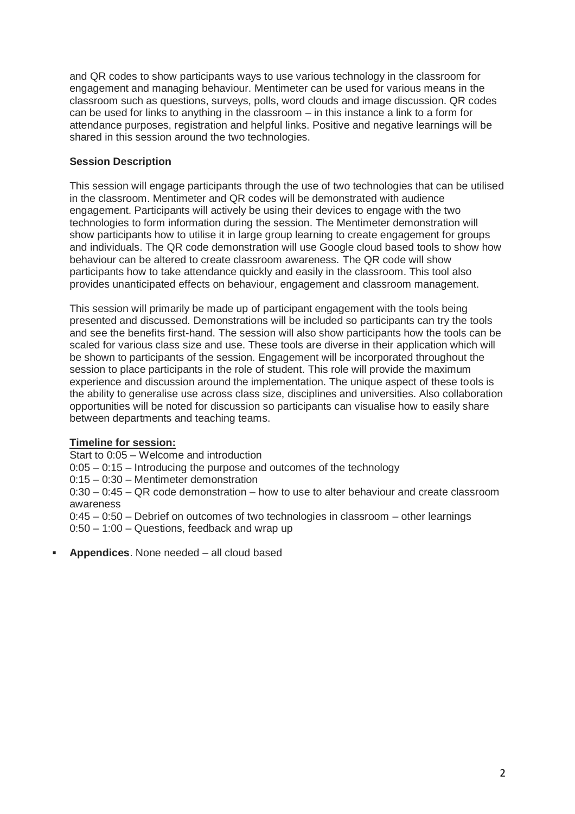and QR codes to show participants ways to use various technology in the classroom for engagement and managing behaviour. Mentimeter can be used for various means in the classroom such as questions, surveys, polls, word clouds and image discussion. QR codes can be used for links to anything in the classroom – in this instance a link to a form for attendance purposes, registration and helpful links. Positive and negative learnings will be shared in this session around the two technologies.

# **Session Description**

This session will engage participants through the use of two technologies that can be utilised in the classroom. Mentimeter and QR codes will be demonstrated with audience engagement. Participants will actively be using their devices to engage with the two technologies to form information during the session. The Mentimeter demonstration will show participants how to utilise it in large group learning to create engagement for groups and individuals. The QR code demonstration will use Google cloud based tools to show how behaviour can be altered to create classroom awareness. The QR code will show participants how to take attendance quickly and easily in the classroom. This tool also provides unanticipated effects on behaviour, engagement and classroom management.

This session will primarily be made up of participant engagement with the tools being presented and discussed. Demonstrations will be included so participants can try the tools and see the benefits first-hand. The session will also show participants how the tools can be scaled for various class size and use. These tools are diverse in their application which will be shown to participants of the session. Engagement will be incorporated throughout the session to place participants in the role of student. This role will provide the maximum experience and discussion around the implementation. The unique aspect of these tools is the ability to generalise use across class size, disciplines and universities. Also collaboration opportunities will be noted for discussion so participants can visualise how to easily share between departments and teaching teams.

### **Timeline for session:**

Start to 0:05 – Welcome and introduction

0:05 – 0:15 – Introducing the purpose and outcomes of the technology

0:15 – 0:30 – Mentimeter demonstration

0:30 – 0:45 – QR code demonstration – how to use to alter behaviour and create classroom awareness

0:45 – 0:50 – Debrief on outcomes of two technologies in classroom – other learnings

0:50 – 1:00 – Questions, feedback and wrap up

**Appendices**. None needed – all cloud based